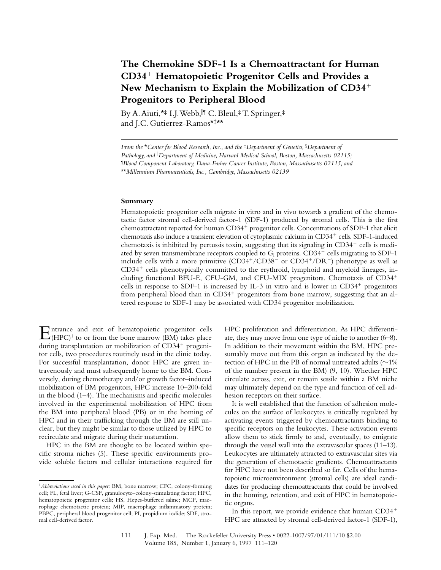# **The Chemokine SDF-1 Is a Chemoattractant for Human CD34**<sup>1</sup> **Hematopoietic Progenitor Cells and Provides a** New Mechanism to Explain the Mobilization of CD34<sup>+</sup> **Progenitors to Peripheral Blood**

By A. Aiuti,\*‡ I.J. Webb, I¶ C. Bleul,‡ T. Springer,‡ and J.C. Gutierrez-Ramos\*‡\*\*

#### **Summary**

Hematopoietic progenitor cells migrate in vitro and in vivo towards a gradient of the chemotactic factor stromal cell-derived factor-1 (SDF-1) produced by stromal cells. This is the first chemoattractant reported for human CD34<sup>+</sup> progenitor cells. Concentrations of SDF-1 that elicit chemotaxis also induce a transient elevation of cytoplasmic calcium in CD34<sup>+</sup> cells. SDF-1-induced chemotaxis is inhibited by pertussis toxin, suggesting that its signaling in  $CD34<sup>+</sup>$  cells is mediated by seven transmembrane receptors coupled to  $G_i$  proteins.  $CD34^+$  cells migrating to SDF-1 include cells with a more primitive  $(CD34<sup>+</sup>/CD38<sup>-</sup>$  or  $CD34<sup>+</sup>/DR<sup>-</sup>)$  phenotype as well as  $CD34<sup>+</sup>$  cells phenotypically committed to the erythroid, lymphoid and myeloid lineages, including functional BFU-E, CFU-GM, and CFU-MIX progenitors. Chemotaxis of CD34<sup>+</sup> cells in response to SDF-1 is increased by IL-3 in vitro and is lower in  $CD34<sup>+</sup>$  progenitors from peripheral blood than in  $CD34<sup>+</sup>$  progenitors from bone marrow, suggesting that an altered response to SDF-1 may be associated with CD34 progenitor mobilization.

 $\sum_{\text{(HPC)}}^{\text{ntrance}}$  and exit of hematopoietic progenitor cells during transplantation or mobilization of  $CD34<sup>+</sup>$  progenitor cells, two procedures routinely used in the clinic today. For successful transplantation, donor HPC are given intravenously and must subsequently home to the BM. Conversely, during chemotherapy and/or growth factor–induced mobilization of BM progenitors, HPC increase 10–200-fold in the blood (1–4). The mechanisms and specific molecules involved in the experimental mobilization of HPC from the BM into peripheral blood (PB) or in the homing of HPC and in their trafficking through the BM are still unclear, but they might be similar to those utilized by HPC to recirculate and migrate during their maturation.

HPC in the BM are thought to be located within specific stroma niches (5). These specific environments provide soluble factors and cellular interactions required for

HPC proliferation and differentiation. As HPC differentiate, they may move from one type of niche to another (6–8). In addition to their movement within the BM, HPC presumably move out from this organ as indicated by the detection of HPC in the PB of normal untreated adults ( $\sim$ 1% of the number present in the BM) (9, 10). Whether HPC circulate across, exit, or remain sessile within a BM niche may ultimately depend on the type and function of cell adhesion receptors on their surface.

It is well established that the function of adhesion molecules on the surface of leukocytes is critically regulated by activating events triggered by chemoattractants binding to specific receptors on the leukocytes. These activation events allow them to stick firmly to and, eventually, to emigrate through the vessel wall into the extravascular spaces (11–13). Leukocytes are ultimately attracted to extravascular sites via the generation of chemotactic gradients. Chemoattractants for HPC have not been described so far. Cells of the hematopoietic microenvironment (stromal cells) are ideal candidates for producing chemoattractants that could be involved in the homing, retention, and exit of HPC in hematopoietic organs.

In this report, we provide evidence that human  $CD34<sup>+</sup>$ HPC are attracted by stromal cell-derived factor-1 (SDF-1),

*From the* \**Center for Blood Research, Inc., and the* ‡*Department of Genetics,* §*Department of*  Pathology, and <sup>|</sup>| Department of Medicine, Harvard Medical School, Boston, Massachusetts 02115; ¶ *Blood Component Laboratory, Dana-Farber Cancer Institute, Boston, Massachusetts 02115; and*  \*\**Millennium Pharmaceuticals, Inc., Cambridge, Massachusetts 02139*

<sup>1</sup>*Abbreviations used in this paper:* BM, bone marrow; CFC, colony-forming cell; FL, fetal liver; G-CSF, granulocyte–colony-stimulating factor; HPC, hematopoietic progenitor cells; HS, Hepes-buffered saline; MCP, macrophage chemotactic protein; MIP, macrophage inflammatory protein; PBPC, peripheral blood progenitor cell; PI, propidium iodide; SDF, stromal cell-derived factor.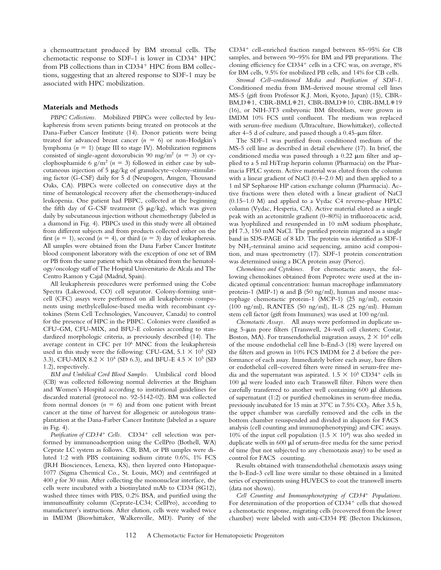a chemoattractant produced by BM stromal cells. The chemotactic response to SDF-1 is lower in  $CD34<sup>+</sup>$  HPC from PB collections than in  $CD34<sup>+</sup>$  HPC from BM collections, suggesting that an altered response to SDF-1 may be associated with HPC mobilization.

#### **Materials and Methods**

*PBPC Collections.* Mobilized PBPCs were collected by leukapheresis from seven patients being treated on protocols at the Dana-Farber Cancer Institute (14). Donor patients were being treated for advanced breast cancer  $(n = 6)$  or non-Hodgkin's lymphoma  $(n = 1)$  (stage III to stage IV). Mobilization regimens consisted of single-agent doxorubicin 90 mg/m<sup>2</sup> ( $n = 3$ ) or cyclophosphamide 6  $g/m^2$  ( $n = 3$ ) followed in either case by subcutaneous injection of  $5 \mu g/kg$  of granulocyte–colony-stimulating factor (G-CSF) daily for 5 d (Neupogen, Amgen, Thousand Oaks, CA). PBPCs were collected on consecutive days at the time of hematological recovery after the chemotherapy-induced leukopenia. One patient had PBPC, collected at the beginning the fifth day of G-CSF treatment (5  $\mu$ g/kg), which was given daily by subcutaneous injection without chemotherapy (labeled as a diamond in Fig. 4). PBPCs used in this study were all obtained from different subjects and from products collected either on the first  $(n = 1)$ , second  $(n = 4)$ , or third  $(n = 3)$  day of leukapheresis. All samples were obtained from the Dana Farber Cancer Institute blood component laboratory with the exception of one set of BM or PB from the same patient which was obtained from the hematology/oncology staff of The Hospital Universitario de Alcala and The Centro Ramon y Cajal (Madrid, Spain).

All leukapheresis procedures were performed using the Cobe Spectra (Lakewood, CO) cell separator. Colony-forming unit– cell (CFC) assays were performed on all leukapheresis components using methylcellulose-based media with recombinant cytokines (Stem Cell Technologies, Vancouver, Canada) to control for the presence of HPC in the PBPC. Colonies were classified as CFU-GM, CFU-MIX, and BFU-E colonies according to standardized morphologic criteria, as previously described (14). The average content in CFC per 106 MNC from the leukapheresis used in this study were the following: CFU-GM,  $5.1 \times 10^5$  (SD 3.3), CFU-MIX 8.2  $\times$  10<sup>4</sup> (SD 6.3), and BFU-E 4.5  $\times$  10<sup>5</sup> (SD 1.2), respectively.

*BM and Umbilical Cord Blood Samples.* Umbilical cord blood (CB) was collected following normal deliveries at the Brigham and Women's Hospital according to institutional guidelines for discarded material (protocol no. 92-5142-02). BM was collected from normal donors  $(n = 6)$  and from one patient with breast cancer at the time of harvest for allogeneic or autologous transplantation at the Dana-Farber Cancer Institute (labeled as a square in Fig. 4).

*Purification of CD34<sup>+</sup> Cells.* CD34<sup>+</sup> cell selection was performed by immunoadsorption using the CellPro (Bothell, WA) Ceprate LC system as follows. CB, BM, or PB samples were diluted 1:2 with PBS containing sodium citrate 0.6%, 1% FCS (JRH Biosciences, Lenexa, KS), then layered onto Histopaque-1077 (Sigma Chemical Co., St. Louis, MO) and centrifuged at 400 *g* for 30 min. After collecting the mononuclear interface, the cells were incubated with a biotinylated mAb to CD34 (8G12), washed three times with PBS, 0.2% BSA, and purified using the immunoaffinity column (Ceprate-LC34; CellPro), according to manufacturer's instructions. After elution, cells were washed twice in IMDM (Biowhittaker, Walkersville, MD). Purity of the  $CD34<sup>+</sup>$  cell-enriched fraction ranged between 85–95% for CB samples, and between 90–95% for BM and PB preparations. The cloning efficiency for  $CD34^+$  cells in a CFC was, on average,  $8\%$ for BM cells, 9.5% for mobilized PB cells, and 14% for CB cells.

*Stromal Cell–conditioned Media and Purification of SDF-1.* Conditioned media from BM-derived mouse stromal cell lines MS-5 (gift from Professor K.J. Mori, Kyoto, Japan) (15), CBR-BM, D#1, CBR-BM, L#21, CBR-BM, D#10, CBR-BM, L#19 (16), or NIH-3T3 embryonic BM fibroblasts, were grown in IMDM 10% FCS until confluent. The medium was replaced with serum-free medium (Ultraculture, Biowhittaker), collected after  $4-5$  d of culture, and passed though a 0.45- $\mu$ m filter.

The SDF-1 was purified from conditioned medium of the MS-5 cell line as described in detail elsewhere (17). In brief, the conditioned media was passed through a  $0.22 \mu m$  filter and applied to a 5 ml HiTrap heparin column (Pharmacia) on the Pharmacia FPLC system. Active material was eluted from the column with a linear gradient of NaCl (0.4–2.0 M) and then applied to a 1 ml SP Sepharose HP cation exchange column (Pharmacia). Active fractions were then eluted with a linear gradient of NaCl (0.15–1.0 M) and applied to a Vydac C4 reverse-phase HPLC column (Vydac, Hesperia, CA). Active material eluted as a single peak with an acetonitrile gradient (0–80%) in trifluoroacetic acid, was lyophilized and resuspended in 10 mM sodium phosphate, pH 7.3, 150 mM NaCl. The purified protein migrated as a single band in SDS-PAGE of 8 kD. The protein was identified as SDF-1 by NH2-terminal amino acid sequencing, amino acid composition, and mass spectrometry (17). SDF-1 protein concentration was determined using a BCA protein assay (Pierce).

*Chemokines and Cytokines.* For chemotactic assays, the following chemokines obtained from Peprotec were used at the indicated optimal concentration: human macrophage inflammatory protein-1 (MIP-1)  $\alpha$  and  $\beta$  (50 ng/ml), human and mouse macrophage chemotactic protein-1 (MCP-1) (25 ng/ml), eotaxin (100 ng/ml), RANTES (50 ng/ml), IL-8 (25 ng/ml). Human stem cell factor (gift from Immunex) was used at 100 ng/ml.

*Chemotactic Assays.* All assays were performed in duplicate using 5-um pore filters (Transwell, 24-well cell clusters; Costar, Boston, MA). For transendothelial migration assays,  $2 \times 10^4$  cells of the mouse endothelial cell line b-End-3 (18) were layered on the filters and grown in 10% FCS IMDM for 2 d before the performance of each assay. Immediately before each assay, bare filters or endothelial cell–covered filters were rinsed in serum-free media and the supernatant was aspirated.  $1.5 \times 10^5$  CD34<sup>+</sup> cells in 100 ml were loaded into each Transwell filter. Filters were then carefully transferred to another well containing 600  $\mu$ l dilutions of supernatant (1:2) or purified chemokines in serum-free media, previously incubated for 15 min at  $37^{\circ}$ C in 7.5% CO<sub>2</sub>. After 3.5 h, the upper chamber was carefully removed and the cells in the bottom chamber resuspended and divided in aliquots for FACS analysis (cell counting and immunophenotyping) and CFC assays. 10% of the input cell population (1.5  $\times$  10<sup>4</sup>) was also seeded in duplicate wells in  $600 \mu l$  of serum-free media for the same period of time (but not subjected to any chemotaxis assay) to be used as control for FACS<sup>®</sup> counting.

Results obtained with transendothelial chemotaxis assays using the b-End-3 cell line were similar to those obtained in a limited series of experiments using HUVECS to coat the transwell inserts (data not shown).

*Cell Counting and Immunophenotyping of CD34*<sup>1</sup> *Populations.* For determination of the proportion of  $CD34<sup>+</sup>$  cells that showed a chemotactic response, migrating cells (recovered from the lower chamber) were labeled with anti-CD34 PE (Becton Dickinson,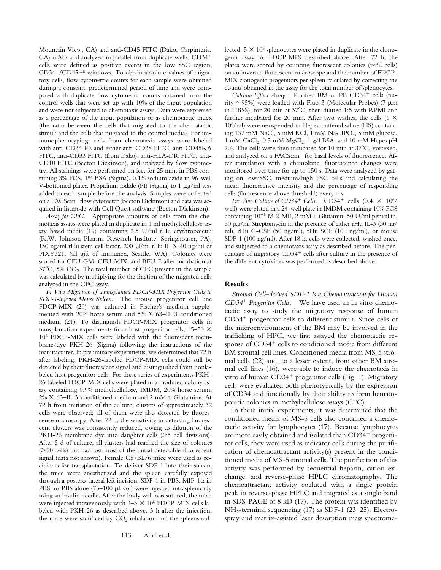Mountain View, CA) and anti-CD45 FITC (Dako, Carpinteria, CA) mAbs and analyzed in parallel from duplicate wells. CD34<sup>+</sup> cells were defined as positive events in the low SSC region,  $CD34^{+}/CD45$ <sup>dull</sup> windows. To obtain absolute values of migratory cells, flow cytometric counts for each sample were obtained during a constant, predetermined period of time and were compared with duplicate flow cytometric counts obtained from the control wells that were set up with 10% of the input population and were not subjected to chemotaxis assays. Data were expressed as a percentage of the input population or as chemotactic index (the ratio between the cells that migrated to the chemotactic stimuli and the cells that migrated to the control media). For immunophenotyping, cells from chemotaxis assays were labeled with anti-CD34 PE and either anti-CD38 FITC, anti-CD45RA FITC, anti-CD33 FITC (from Dako), anti-HLA-DR FITC, anti-CD10 FITC (Becton Dickinson), and analyzed by flow cytometry. All stainings were performed on ice, for 25 min, in PBS containing 3% FCS, 1% BSA (Sigma), 0.1% sodium azide in 96-well V-bottomed plates. Propidium iodide (PI) (Sigma) to 1  $\mu$ g/ml was added to each sample before the analysis. Samples were collected on a FACScan® flow cytometer (Becton Dickinson) and data was acquired in listmode with Cell Quest software (Becton Dickinson).

*Assay for CFC.* Appropriate amounts of cells from the chemotaxis assays were plated in duplicate in 1 ml methylcellulose assay–based media (19) containing 2.5 U/ml rHu erythropoietin (R.W. Johnson Pharma Research Institute, Springhouser, PA), 150 ng/ml rHu stem cell factor, 200 U/ml rHu IL-3, 40 ng/ml of PIXY321, (all gift of Immunex, Seattle, WA). Colonies were scored for CFU-GM, CFU-MIX, and BFU-E after incubation at  $37^{\circ}$ C, 5% CO<sub>2</sub>. The total number of CFC present in the sample was calculated by multiplying for the fraction of the migrated cells analyzed in the CFC assay.

*In Vivo Migration of Transplanted FDCP-MIX Progenitor Cells to SDF-1-injected Mouse Spleen.* The mouse progenitor cell line FDCP-MIX (20) was cultured in Fischer's medium supplemented with 20% horse serum and 5% X-63–IL-3 conditioned medium (21). To distinguish FDCP-MIX progenitor cells in transplantation experiments from host progenitor cells,  $15-20 \times$ 106 FDCP-MIX cells were labeled with the fluorescent membrane/dye PKH-26 (Sigma) following the instructions of the manufacturer. In preliminary experiments, we determined that 72 h after labeling, PKH-26-labeled FDCP-MIX cells could still be detected by their fluorescent signal and distinguished from nonlabeled host progenitor cells. For these series of experiments PKH-26-labeled FDCP-MIX cells were plated in a modified colony assay containing 0.9% methylcellulose, IMDM, 20% horse serum, 2% X-63–IL-3-conditioned medium and 2 mM l-Glutamine. At 72 h from initiation of the culture, clusters of approximately 32 cells were observed; all of them were also detected by fluorescence microscopy. After 72 h, the sensitivity in detecting fluorescent clusters was consistently reduced, owing to dilution of the PKH-26 membrane dye into daughter cells  $($ >5 cell divisions). After 5 d of culture, all clusters had reached the size of colonies  $($ >50 cells) but had lost most of the initial detectable fluorescent signal (data not shown). Female C57BL/6 mice were used as recipients for transplantation. To deliver SDF-1 into their spleen, the mice were anesthetized and the spleen carefully exposed through a postero–lateral left incision. SDF-1 in PBS, MIP-1 $\alpha$  in PBS, or PBS alone  $(75-100 \mu l$  vol) were injected intrasplenically using an insulin needle. After the body wall was sutured, the mice were injected intravenously with  $2-3 \times 10^6$  FDCP-MIX cells labeled with PKH-26 as described above. 3 h after the injection, the mice were sacrificed by  $CO<sub>2</sub>$  inhalation and the spleens collected.  $5 \times 10^5$  splenocytes were plated in duplicate in the clonogenic assay for FDCP-MIX described above. After 72 h, the plates were scored by counting fluorescent colonies  $(\sim]32$  cells) on an inverted fluorescent microscope and the number of FDCP-MIX clonogenic progenitors per spleen calculated by correcting the counts obtained in the assay for the total number of splenocytes.

*Calcium Efflux Assay.* Purified BM or PB CD34<sup>+</sup> cells (purity  $\sim$ 95%) were loaded with Fluo-3 (Molecular Probes) (7  $\mu$ m in HBSS), for 20 min at 37°C, then diluted 1:5 with RPMI and further incubated for 20 min. After two washes, the cells  $(1 \times$ 106/ml) were resuspended in Hepes-buffered saline (HS) containing 137 mM NaCl, 5 mM KCl, 1 mM Na<sub>2</sub>HPO<sub>4</sub>, 5 mM glucose, 1 mM CaCl<sub>2</sub>, 0.5 mM MgCl<sub>2</sub>, 1 g/l BSA, and 10 mM Hepes pH 7.4. The cells were then incubated for 10 min at  $37^{\circ}$ C, vortexed, and analyzed on a FACScan® for basal levels of fluorescence. After stimulation with a chemokine, fluorescence changes were monitored over time for up to 150 s. Data were analyzed by gating on low/SSC, medium/high FSC cells and calculating the mean fluorescence intensity and the percentage of responding cells (fluorescence above threshold) every 4 s.

*Ex Vivo Culture of CD34<sup>+</sup> Cells.*  $CD34^+$  cells  $(0.4 \times 10^6/$ well) were plated in a 24-well plate in IMDM containing 10% FCS containing  $10^{-5}$  M 2-ME, 2 mM L-Glutamin, 50 U/ml penicillin, 50  $\mu$ g/ml Streptomycin in the presence of either rHu IL-3 (30 ng/ ml), rHu G-CSF (50 ng/ml), rHu SCF (100 ng/ml), or mouse SDF-1 (100 ng/ml). After 18 h, cells were collected, washed once, and subjected to a chemotaxis assay as described before. The percentage of migratory  $CD34<sup>+</sup>$  cells after culture in the presence of the different cytokines was performed as described above.

# **Results**

*Stromal Cell–derived SDF-1 Is a Chemoattractant for Human CD34*<sup>1</sup> *Progenitor Cells.* We have used an in vitro chemotactic assay to study the migratory response of human  $CD34<sup>+</sup>$  progenitor cells to different stimuli. Since cells of the microenvironment of the BM may be involved in the trafficking of HPC, we first assayed the chemotactic response of  $CD34<sup>+</sup>$  cells to conditioned media from different BM stromal cell lines. Conditioned media from MS-5 stromal cells (22) and, to a lesser extent, from other BM stromal cell lines (16), were able to induce the chemotaxis in vitro of human  $CD34<sup>+</sup>$  progenitor cells (Fig. 1). Migratory cells were evaluated both phenotypically by the expression of CD34 and functionally by their ability to form hematopoietic colonies in methylcellulose assays (CFC).

In these initial experiments, it was determined that the conditioned media of MS-5 cells also contained a chemotactic activity for lymphocytes (17). Because lymphocytes are more easily obtained and isolated than  $CD34<sup>+</sup>$  progenitor cells, they were used as indicator cells during the purification of chemoattractant activity(s) present in the conditioned media of MS-5 stromal cells. The purification of this activity was performed by sequential heparin, cation exchange, and reverse-phase HPLC chromatography. The chemoattractant activity coeluted with a single protein peak in reverse-phase HPLC and migrated as a single band in SDS-PAGE of 8 kD (17). The protein was identified by NH2-terminal sequencing (17) as SDF-1 (23–25). Electrospray and matrix-assisted laser desorption mass spectrome-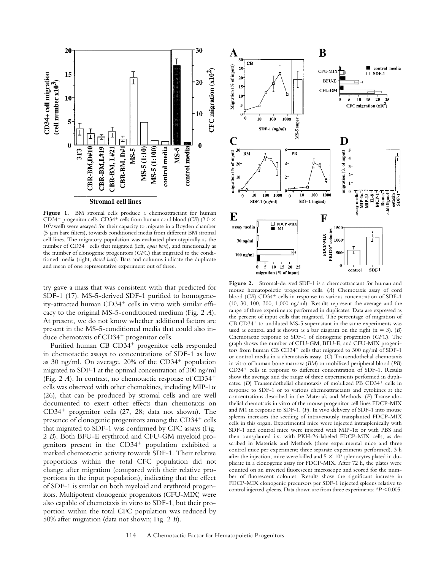

Figure 1. BM stromal cells produce a chemoattractant for human CD34<sup>+</sup> progenitor cells. CD34<sup>+</sup> cells from human cord blood (*CB*) (2.0  $\times$ 105/well) were assayed for their capacity to migrate in a Boyden chamber (5 mm bare filters), towards conditioned media from different BM stromal cell lines. The migratory population was evaluated phenotypically as the number of CD34<sup>+</sup> cells that migrated (left, *open bars*), and functionally as the number of clonogenic progenitors (*CFC*) that migrated to the conditioned media (right, *closed bars*). Bars and columns indicate the duplicate and mean of one representative experiment out of three.

try gave a mass that was consistent with that predicted for SDF-1 (17). MS-5-derived SDF-1 purified to homogeneity-attracted human  $CD34^+$  cells in vitro with similar efficacy to the original MS-5-conditioned medium (Fig. 2 *A*). At present, we do not know whether additional factors are present in the MS-5-conditioned media that could also induce chemotaxis of  $CD34<sup>+</sup>$  progenitor cells.

Purified human CB CD34<sup>+</sup> progenitor cells responded in chemotactic assays to concentrations of SDF-1 as low as 30 ng/ml. On average,  $20\%$  of the CD34<sup>+</sup> population migrated to SDF-1 at the optimal concentration of 300 ng/ml (Fig. 2  $A$ ). In contrast, no chemotactic response of  $CD34<sup>+</sup>$ cells was observed with other chemokines, including MIP-1 $\alpha$ (26), that can be produced by stromal cells and are well documented to exert other effects than chemotaxis on  $CD34<sup>+</sup>$  progenitor cells (27, 28; data not shown). The presence of clonogenic progenitors among the  $CD34<sup>+</sup>$  cells that migrated to SDF-1 was confirmed by CFC assays (Fig. 2 *B*). Both BFU-E erythroid and CFU-GM myeloid progenitors present in the CD34<sup>+</sup> population exhibited a marked chemotactic activity towards SDF-1. Their relative proportions within the total CFC population did not change after migration (compared with their relative proportions in the input population), indicating that the effect of SDF-1 is similar on both myeloid and erythroid progenitors. Multipotent clonogenic progenitors (CFU-MIX) were also capable of chemotaxis in vitro to SDF-1, but their proportion within the total CFC population was reduced by 50% after migration (data not shown; Fig. 2 *B*).



**Figure 2.** Stromal-derived SDF-1 is a chemoattractant for human and mouse hematopoietic progenitor cells. (*A*) Chemotaxis assay of cord blood (*CB*) CD34<sup>+</sup> cells in response to various concentration of SDF-1 (10, 30, 100, 300, 1,000 ng/ml). Results represent the average and the range of three experiments performed in duplicates. Data are expressed as the percent of input cells that migrated. The percentage of migration of  $CB$   $CD34<sup>+</sup>$  to undiluted MS-5 supernatant in the same experiments was used as control and is shown as a bar diagram on the right  $(n = 3)$ . (*B*) Chemotactic response to SDF-1 of clonogenic progenitors (*CFC*). The graph shows the number of CFU-GM, BFU-E, and CFU-MIX progenitors from human CB  $CD34^+$  cells that migrated to 300 ng/ml of SDF-1 or control media in a chemotaxis assay. (*C*) Transendothelial chemotaxis in vitro of human bone marrow (*BM*) or mobilized peripheral blood (*PB*)  $CD34<sup>+</sup>$  cells in response to different concentration of SDF-1. Results show the average and the range of three experiments performed in duplicates. (D) Transendothelial chemotaxis of mobilized PB CD34<sup>+</sup> cells in response to SDF-1 or to various chemoattractants and cytokines at the concentrations described in the Materials and Methods. (*E*) Transendothelial chemotaxis in vitro of the mouse progenitor cell lines FDCP-MIX and M1 in response to SDF-1. (*F*). In vivo delivery of SDF-1 into mouse spleens increases the seeding of intravenously transplanted FDCP-MIX cells in this organ. Experimental mice were injected intrasplenically with SDF-1 and control mice were injected with MIP-1 $\alpha$  or with PBS and then transplanted i.v. with PKH-26-labeled FDCP-MIX cells, as described in Materials and Methods (three experimental mice and three control mice per experiment; three separate experiments performed). 3 h after the injection, mice were killed and  $5 \times 10^5$  splenocytes plated in duplicate in a clonogenic assay for FDCP-MIX. After 72 h, the plates were counted on an inverted fluorescent microscope and scored for the number of fluorescent colonies. Results show the significant increase in FDCP-MIX clonogenic precursors per SDF-1 injected spleens relative to control injected spleens. Data shown are from three experiments:  $*P < 0.005$ .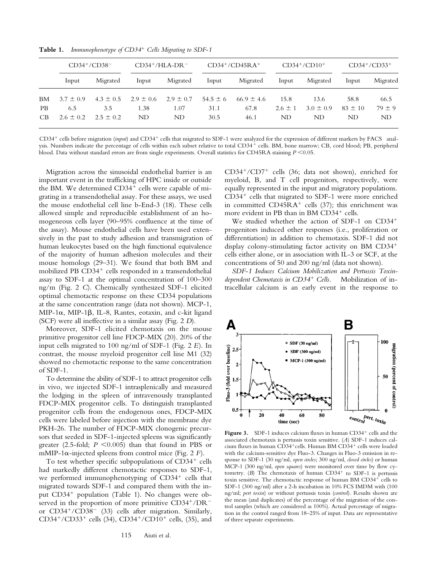|     | $CD34^+/CD38^-$ |               | $CD34^+/HLA-DR^-$ |               | $CD34^+/CD45RA^+$ |                | $CD34^+/CD10^+$ |               | $CD34^+/CD33^+$ |          |
|-----|-----------------|---------------|-------------------|---------------|-------------------|----------------|-----------------|---------------|-----------------|----------|
|     | Input           | Migrated      | Input             | Migrated      | Input             | Migrated       | Input           | Migrated      | Input           | Migrated |
| BM  | $3.7 \pm 0.9$   | $4.3 \pm 0.5$ | $2.9 \pm 0.6$     | $2.9 \pm 0.7$ | $54.5 \pm 6$      | $66.9 \pm 4.6$ | 15.8            | 13.6          | 58.8            | 66.5     |
| PB. | 6.5             | 3.5           | 1.38              | 1.07          | 31.1              | 67.8           | $2.6 \pm 1$     | $3.0 \pm 0.9$ | $83 \pm 10$     | $79 + 9$ |
| CB  | $2.6 \pm 0.2$   | $2.5 \pm 0.2$ | ND                | ND            | 30.5              | 46.1           | ND              | ND            | ND              | ND       |

**Table 1.** *Immunophenotype of CD34*<sup>1</sup> *Cells Migrating to SDF-1*

CD34<sup>+</sup> cells before migration (*input*) and CD34<sup>+</sup> cells that migrated to SDF-1 were analyzed for the expression of different markers by FACS® analysis. Numbers indicate the percentage of cells within each subset relative to total CD34<sup>+</sup> cells. BM, bone marrow; CB, cord blood; PB, peripheral blood. Data without standard errors are from single experiments. Overall statistics for CD45RA staining  $P \le 0.05$ .

Migration across the sinusoidal endothelial barrier is an important event in the trafficking of HPC inside or outside the BM. We determined  $CD34<sup>+</sup>$  cells were capable of migrating in a transendothelial assay. For these assays, we used the mouse endothelial cell line b-End-3 (18). These cells allowed simple and reproducible establishment of an homogeneous cells layer (90–95% confluence at the time of the assay). Mouse endothelial cells have been used extensively in the past to study adhesion and transmigration of human leukocytes based on the high functional equivalence of the majority of human adhesion molecules and their mouse homologs (29–31). We found that both BM and mobilized PB CD34<sup>+</sup> cells responded in a transendothelial assay to SDF-1 at the optimal concentration of 100–300 ng/m (Fig. 2 *C*). Chemically synthesized SDF-1 elicited optimal chemotactic response on these CD34 populations at the same concentration range (data not shown). MCP-1, MIP-1 $\alpha$ , MIP-1 $\beta$ , IL-8, Rantes, eotaxin, and c-kit ligand (SCF) were all ineffective in a similar assay (Fig. 2 *D*).

Moreover, SDF-1 elicited chemotaxis on the mouse primitive progenitor cell line FDCP-MIX (20). 20% of the input cells migrated to 100 ng/ml of SDF-1 (Fig. 2 *E*). In contrast, the mouse myeloid progenitor cell line M1 (32) showed no chemotactic response to the same concentration of SDF-1.

To determine the ability of SDF-1 to attract progenitor cells in vivo, we injected SDF-1 intrasplenically and measured the lodging in the spleen of intravenously transplanted FDCP-MIX progenitor cells. To distinguish transplanted progenitor cells from the endogenous ones, FDCP-MIX cells were labeled before injection with the membrane dye PKH-26. The number of FDCP-MIX clonogenic precursors that seeded in SDF-1-injected spleens was significantly greater  $(2.5\text{-fold}; P \leq 0.005)$  than that found in PBS or mMIP-1 $\alpha$ -injected spleens from control mice (Fig. 2 *F*).

To test whether specific subpopulations of  $CD34<sup>+</sup>$  cells had markedly different chemotactic responses to SDF-1, we performed immunophenotyping of  $CD34<sup>+</sup>$  cells that migrated towards SDF-1 and compared them with the input CD34<sup>+</sup> population (Table 1). No changes were observed in the proportion of more primitive  $CD34^+/DR^$ or  $CD34^+/CD38^-$  (33) cells after migration. Similarly, CD34<sup>+</sup>/CD33<sup>+</sup> cells (34), CD34<sup>+</sup>/CD10<sup>+</sup> cells, (35), and  $CD34^+/CD7^+$  cells (36; data not shown), enriched for myeloid, B, and T cell progenitors, respectively, were equally represented in the input and migratory populations.  $CD34<sup>+</sup>$  cells that migrated to SDF-1 were more enriched in committed  $CD45RA^+$  cells (37); this enrichment was more evident in PB than in BM CD34<sup>+</sup> cells.

We studied whether the action of SDF-1 on  $CD34^+$ progenitors induced other responses (i.e., proliferation or differentiation) in addition to chemotaxis. SDF-1 did not display colony-stimulating factor activity on BM  $CD34<sup>+</sup>$ cells either alone, or in association with IL-3 or SCF, at the concentrations of 50 and 200 ng/ml (data not shown).

*SDF-1 Induces Calcium Mobilization and Pertussis Toxindependent Chemotaxis in CD34*1 *Cells.* Mobilization of intracellular calcium is an early event in the response to



**Figure 3.** SDF-1 induces calcium fluxes in human CD34<sup>+</sup> cells and the associated chemotaxis is pertussis toxin sensitive. (*A*) SDF-1 induces calcium fluxes in human CD34+ cells. Human BM CD34+ cells were loaded with the calcium-sensitive dye Fluo-3. Changes in Fluo-3 emission in response to SDF-1 (30 ng/ml, *open circles*; 300 ng/ml, *closed circles*) or human MCP-1 (300 ng/ml, *open squares*) were monitored over time by flow cytometry.  $(B)$  The chemotaxis of human  $CD34<sup>+</sup>$  to SDF-1 is pertussis toxin sensitive. The chemotactic response of human BM  $CD34<sup>+</sup>$  cells to SDF-1 (300 ng/ml) after a 2-h incubation in 10% FCS IMDM with (100 ng/ml; *pert toxin*) or without pertussis toxin (*control*). Results shown are the mean (and duplicates) of the percentage of the migration of the control samples (which are considered as 100%). Actual percentage of migration in the control ranged from 18–25% of input. Data are representative of three separate experiments.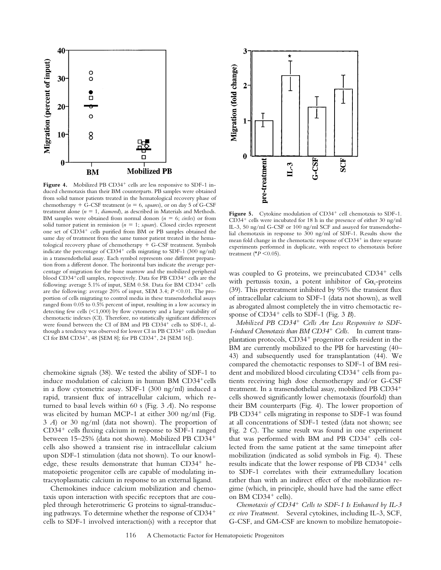

Figure 4. Mobilized PB CD34<sup>+</sup> cells are less responsive to SDF-1 induced chemotaxis than their BM counterparts. PB samples were obtained from solid tumor patients treated in the hematological recovery phase of chemotherapy  $+$  G-CSF treatment ( $n = 6$ , *squares*), or on day 5 of G-CSF treatment alone  $(n = 1,$  *diamond*), as described in Materials and Methods. BM samples were obtained from normal donors ( $n = 6$ ; *circles*) or from solid tumor patient in remission ( $n = 1$ ; *square*). Closed circles represent one set of CD34<sup>+</sup> cells purified from BM or PB samples obtained the same day of treatment from the same tumor patient treated in the hematological recovery phase of chemotherapy  $+$  G-CSF treatment. Symbols indicate the percentage of  $CD34^+$  cells migrating to SDF-1 (300 ng/ml) in a transendothelial assay. Each symbol represents one different preparation from a different donor. The horizontal bars indicate the average percentage of migration for the bone marrow and the mobilized peripheral blood CD34<sup>+</sup>cell samples, respectively. Data for PB CD34<sup>+</sup> cells are the following: average  $5.1\%$  of input, SEM 0.58. Data for BM CD34<sup>+</sup> cells are the following: average 20% of input, SEM 3.4;  $P \le 0.01$ . The proportion of cells migrating to control media in these transendothelial assays ranged from 0.05 to 0.5% percent of input, resulting in a low accuracy in detecting few cells  $(<1,000$ ) by flow cytometry and a large variability of chemotactic indexes (CI). Therefore, no statistically significant differences were found between the CI of BM and PB CD34<sup>+</sup> cells to SDF-1, although a tendency was observed for lower CI in PB CD34<sup>+</sup> cells (median CI for BM CD34<sup>+</sup>, 48 [SEM 8]; for PB CD34<sup>+</sup>, 24 [SEM 16]).

chemokine signals (38). We tested the ability of SDF-1 to induce modulation of calcium in human BM  $CD34<sup>+</sup>$ cells in a flow cytometric assay. SDF-1 (300 ng/ml) induced a rapid, transient flux of intracellular calcium, which returned to basal levels within 60 s (Fig. 3 *A*). No response was elicited by human MCP-1 at either 300 ng/ml (Fig. 3 *A*) or 30 ng/ml (data not shown). The proportion of  $CD34<sup>+</sup>$  cells fluxing calcium in response to SDF-1 ranged between 15-25% (data not shown). Mobilized PB CD34<sup>+</sup> cells also showed a transient rise in intracellular calcium upon SDF-1 stimulation (data not shown). To our knowledge, these results demonstrate that human  $CD34<sup>+</sup>$  hematopoietic progenitor cells are capable of modulating intracytoplasmatic calcium in response to an external ligand.

Chemokines induce calcium mobilization and chemotaxis upon interaction with specific receptors that are coupled through heterotrimeric G proteins to signal-transducing pathways. To determine whether the response of  $CD34<sup>+</sup>$ cells to SDF-1 involved interaction(s) with a receptor that



Figure 5. Cytokine modulation of CD34<sup>+</sup> cell chemotaxis to SDF-1.  $CD34<sup>+</sup>$  cells were incubated for 18 h in the presence of either 30 ng/ml IL-3, 50 ng/ml G-CSF or 100 ng/ml SCF and assayed for transendothelial chemotaxis in response to 300 ng/ml of SDF-1. Results show the mean fold change in the chemotactic response of CD34<sup>+</sup> in three separate experiments performed in duplicate, with respect to chemotaxis before treatment ( $\overline{P}$  < 0.05).

was coupled to G proteins, we preincubated  $CD34<sup>+</sup>$  cells with pertussis toxin, a potent inhibitor of  $Ga_i$ -proteins (39). This pretreatment inhibited by 95% the transient flux of intracellular calcium to SDF-1 (data not shown), as well as abrogated almost completely the in vitro chemotactic response of CD34<sup>+</sup> cells to SDF-1 (Fig. 3 *B*).

*Mobilized PB CD34*1 *Cells Are Less Responsive to SDF-1-induced Chemotaxis than BM CD34*<sup>1</sup> *Cells.* In current transplantation protocols,  $CD34<sup>+</sup>$  progenitor cells resident in the BM are currently mobilized to the PB for harvesting (40– 43) and subsequently used for transplantation (44). We compared the chemotactic responses to SDF-1 of BM resident and mobilized blood circulating  $CD34^+$  cells from patients receiving high dose chemotherapy and/or G-CSF treatment. In a transendothelial assay, mobilized PB CD34<sup>+</sup> cells showed significantly lower chemotaxis (fourfold) than their BM counterparts (Fig. 4). The lower proportion of  $PB$  CD34<sup>+</sup> cells migrating in response to SDF-1 was found at all concentrations of SDF-1 tested (data not shown; see Fig. 2 *C*). The same result was found in one experiment that was performed with BM and PB CD34<sup>+</sup> cells collected from the same patient at the same timepoint after mobilization (indicated as solid symbols in Fig. 4). These results indicate that the lower response of PB CD34<sup>+</sup> cells to SDF-1 correlates with their extramedullary location rather than with an indirect effect of the mobilization regime (which, in principle, should have had the same effect on BM CD34<sup>+</sup> cells).

*Chemotaxis of CD34*<sup>1</sup> *Cells to SDF-1 Is Enhanced by IL-3 ex vivo Treatment.* Several cytokines, including IL-3, SCF, G-CSF, and GM-CSF are known to mobilize hematopoie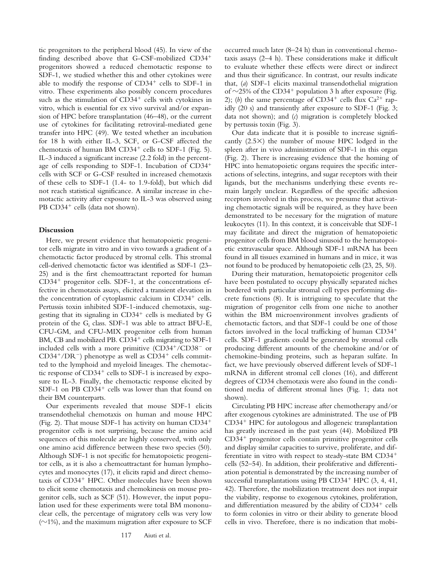tic progenitors to the peripheral blood (45). In view of the finding described above that G-CSF-mobilized  $CD34<sup>+</sup>$ progenitors showed a reduced chemotactic response to SDF-1, we studied whether this and other cytokines were able to modify the response of  $CD34<sup>+</sup>$  cells to SDF-1 in vitro. These experiments also possibly concern procedures such as the stimulation of  $CD34<sup>+</sup>$  cells with cytokines in vitro, which is essential for ex vivo survival and/or expansion of HPC before transplantation (46–48), or the current use of cytokines for facilitating retroviral-mediated gene transfer into HPC (49). We tested whether an incubation for 18 h with either IL-3, SCF, or G-CSF affected the chemotaxis of human BM  $CD34^+$  cells to SDF-1 (Fig. 5). IL-3 induced a significant increase (2.2 fold) in the percentage of cells responding to SDF-1. Incubation of  $CD34<sup>+</sup>$ cells with SCF or G-CSF resulted in increased chemotaxis of these cells to SDF-1 (1.4- to 1.9-fold), but which did not reach statistical significance. A similar increase in chemotactic activity after exposure to IL-3 was observed using PB CD34<sup>+</sup> cells (data not shown).

## **Discussion**

Here, we present evidence that hematopoietic progenitor cells migrate in vitro and in vivo towards a gradient of a chemotactic factor produced by stromal cells. This stromal cell-derived chemotactic factor was identified as SDF-1 (23– 25) and is the first chemoattractant reported for human  $CD34<sup>+</sup>$  progenitor cells. SDF-1, at the concentrations effective in chemotaxis assays, elicited a transient elevation in the concentration of cytoplasmic calcium in  $CD34<sup>+</sup>$  cells. Pertussis toxin inhibited SDF-1-induced chemotaxis, suggesting that its signaling in  $CD34<sup>+</sup>$  cells is mediated by G protein of the  $G_i$  class. SDF-1 was able to attract BFU-E, CFU-GM, and CFU-MIX progenitor cells from human BM, CB and mobilized PB.  $CD34<sup>+</sup>$  cells migrating to SDF-1 included cells with a more primitive  $(CD34<sup>+</sup>/CD38<sup>-</sup>$  or  $CD34+/DR^-$ ) phenotype as well as  $CD34^+$  cells committed to the lymphoid and myeloid lineages. The chemotactic response of  $CD34^+$  cells to SDF-1 is increased by exposure to IL-3. Finally, the chemotactic response elicited by SDF-1 on PB  $CD34<sup>+</sup>$  cells was lower than that found on their BM counterparts.

Our experiments revealed that mouse SDF-1 elicits transendothelial chemotaxis on human and mouse HPC (Fig. 2). That mouse SDF-1 has activity on human  $CD34<sup>+</sup>$ progenitor cells is not surprising, because the amino acid sequences of this molecule are highly conserved, with only one amino acid difference between these two species (50). Although SDF-1 is not specific for hematopoietic progenitor cells, as it is also a chemoattractant for human lymphocytes and monocytes (17), it elicits rapid and direct chemotaxis of  $CD34<sup>+</sup>$  HPC. Other molecules have been shown to elicit some chemotaxis and chemokinesis on mouse progenitor cells, such as SCF (51). However, the input population used for these experiments were total BM mononuclear cells, the percentage of migratory cells was very low  $(\sim 1\%)$ , and the maximum migration after exposure to SCF

occurred much later (8–24 h) than in conventional chemotaxis assays (2–4 h). These considerations make it difficult to evaluate whether these effects were direct or indirect and thus their significance. In contrast, our results indicate that, (*a*) SDF-1 elicits maximal transendothelial migration of  $\sim$ 25% of the CD34<sup>+</sup> population 3 h after exposure (Fig. 2); (b) the same percentage of  $CD34^+$  cells flux  $Ca^{2+}$  rapidly (20 s) and transiently after exposure to SDF-1 (Fig. 3; data not shown); and (*c*) migration is completely blocked by pertussis toxin (Fig. 3).

Our data indicate that it is possible to increase significantly  $(2.5\times)$  the number of mouse HPC lodged in the spleen after in vivo administration of SDF-1 in this organ (Fig. 2). There is increasing evidence that the homing of HPC into hematopoietic organs requires the specific interactions of selectins, integrins, and sugar receptors with their ligands, but the mechanisms underlying these events remain largely unclear. Regardless of the specific adhesion receptors involved in this process, we presume that activating chemotactic signals will be required, as they have been demonstrated to be necessary for the migration of mature leukocytes (11). In this context, it is conceivable that SDF-1 may facilitate and direct the migration of hematopoietic progenitor cells from BM blood sinusoid to the hematopoietic extravascular space. Although SDF-1 mRNA has been found in all tissues examined in humans and in mice, it was not found to be produced by hematopoietic cells (23, 25, 50).

During their maturation, hematopoietic progenitor cells have been postulated to occupy physically separated niches bordered with particular stromal cell types performing discrete functions (8). It is intriguing to speculate that the migration of progenitor cells from one niche to another within the BM microenvironment involves gradients of chemotactic factors, and that SDF-1 could be one of those factors involved in the local trafficking of human  $CD34<sup>+</sup>$ cells. SDF-1 gradients could be generated by stromal cells producing different amounts of the chemokine and/or of chemokine-binding proteins, such as heparan sulfate. In fact, we have previously observed different levels of SDF-1 mRNA in different stromal cell clones (16), and different degrees of CD34 chemotaxis were also found in the conditioned media of different stromal lines (Fig. 1; data not shown).

Circulating PB HPC increase after chemotherapy and/or after exogenous cytokines are administrated. The use of PB CD34<sup>+</sup> HPC for autologous and allogeneic transplantation has greatly increased in the past years (44). Mobilized PB CD34<sup>+</sup> progenitor cells contain primitive progenitor cells and display similar capacities to survive, proliferate, and differentiate in vitro with respect to steady-state BM  $CD34<sup>+</sup>$ cells (52–54). In addition, their proliferative and differentiation potential is demonstrated by the increasing number of successful transplantations using PB  $CD34<sup>+</sup>$  HPC  $(3, 4, 41, 41)$ 42). Therefore, the mobilization treatment does not impair the viability, response to exogenous cytokines, proliferation, and differentiation measured by the ability of  $CD34<sup>+</sup>$  cells to form colonies in vitro or their ability to generate blood cells in vivo. Therefore, there is no indication that mobi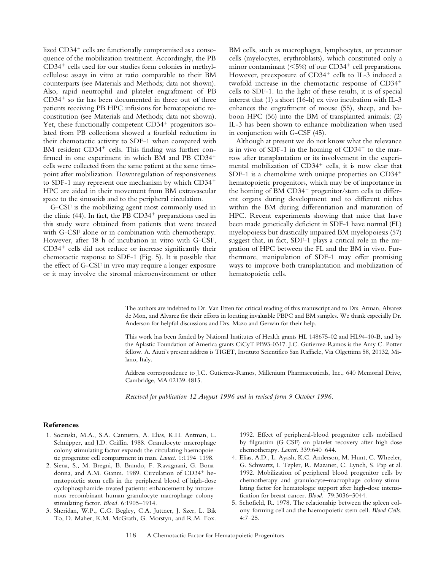lized  $CD34<sup>+</sup>$  cells are functionally compromised as a consequence of the mobilization treatment. Accordingly, the PB  $CD34<sup>+</sup>$  cells used for our studies form colonies in methylcellulose assays in vitro at ratio comparable to their BM counterparts (see Materials and Methods; data not shown). Also, rapid neutrophil and platelet engraftment of PB  $CD34<sup>+</sup>$  so far has been documented in three out of three patients receiving PB HPC infusions for hematopoietic reconstitution (see Materials and Methods; data not shown). Yet, these functionally competent  $CD34<sup>+</sup>$  progenitors isolated from PB collections showed a fourfold reduction in their chemotactic activity to SDF-1 when compared with BM resident  $CD34<sup>+</sup>$  cells. This finding was further confirmed in one experiment in which BM and PB CD34<sup>+</sup> cells were collected from the same patient at the same timepoint after mobilization. Downregulation of responsiveness to SDF-1 may represent one mechanism by which  $CD34<sup>+</sup>$ HPC are aided in their movement from BM extravascular space to the sinusoids and to the peripheral circulation.

G-CSF is the mobilizing agent most commonly used in the clinic (44). In fact, the PB  $CD34<sup>+</sup>$  preparations used in this study were obtained from patients that were treated with G-CSF alone or in combination with chemotherapy. However, after 18 h of incubation in vitro with G-CSF,  $CD34<sup>+</sup>$  cells did not reduce or increase significantly their chemotactic response to SDF-1 (Fig. 5). It is possible that the effect of G-CSF in vivo may require a longer exposure or it may involve the stromal microenvironment or other BM cells, such as macrophages, lymphocytes, or precursor cells (myelocytes, erythroblasts), which constituted only a minor contaminant ( $\leq$ 5%) of our CD34<sup>+</sup> cell preparations. However, preexposure of  $CD34^+$  cells to IL-3 induced a twofold increase in the chemotactic response of  $CD34<sup>+</sup>$ cells to SDF-1. In the light of these results, it is of special interest that (1) a short (16-h) ex vivo incubation with IL-3 enhances the engraftment of mouse (55), sheep, and baboon HPC (56) into the BM of transplanted animals; (2) IL-3 has been shown to enhance mobilization when used in conjunction with G-CSF (45).

Although at present we do not know what the relevance is in vivo of SDF-1 in the homing of  $CD34<sup>+</sup>$  to the marrow after transplantation or its involvement in the experimental mobilization of  $CD34<sup>+</sup>$  cells, it is now clear that SDF-1 is a chemokine with unique properties on  $CD34<sup>+</sup>$ hematopoietic progenitors, which may be of importance in the homing of BM  $CD34^+$  progenitor/stem cells to different organs during development and to different niches within the BM during differentiation and maturation of HPC. Recent experiments showing that mice that have been made genetically deficient in SDF-1 have normal (FL) myelopoiesis but drastically impaired BM myelopoiesis (57) suggest that, in fact, SDF-1 plays a critical role in the migration of HPC between the FL and the BM in vivo. Furthermore, manipulation of SDF-1 may offer promising ways to improve both transplantation and mobilization of hematopoietic cells.

The authors are indebted to Dr. Van Etten for critical reading of this manuscript and to Drs. Arman, Alvarez de Mon, and Alvarez for their efforts in locating invaluable PBPC and BM samples. We thank especially Dr. Anderson for helpful discussions and Drs. Mazo and Gerwin for their help.

This work has been funded by National Institutes of Health grants HL 148675-02 and HL94-10-B, and by the Aplastic Foundation of America grants CiCyT PB93-0317. J.C. Gutierrez-Ramos is the Amy C. Potter fellow. A. Aiuti's present address is TIGET, Instituto Scientifico San Raffaele, Via Olgettima 58, 20132, Milano, Italy.

Address correspondence to J.C. Gutierrez-Ramos, Millenium Pharmaceuticals, Inc., 640 Memorial Drive, Cambridge, MA 02139-4815.

*Received for publication 12 August 1996 and in revised form 9 October 1996.*

### **References**

- 1. Socinski, M.A., S.A. Cannistra, A. Elias, K.H. Antman, L. Schnipper, and J.D. Griffin. 1988. Granulocyte–macrophage colony stimulating factor expands the circulating haemopoietic progenitor cell compartment in man. *Lancet.* 1:1194–1198.
- 2. Siena, S., M. Bregni, B. Brando, F. Ravagnani, G. Bonadonna, and A.M. Gianni. 1989. Circulation of CD34<sup>+</sup> hematopoietic stem cells in the peripheral blood of high-dose cyclophosphamide-treated patients: enhancement by intravenous recombinant human granulocyte-macrophage colonystimulating factor. *Blood.* 6:1905–1914.
- 3. Sheridan, W.P., C.G. Begley, C.A. Juttner, J. Szer, L. Bik To, D. Maher, K.M. McGrath, G. Morstyn, and R.M. Fox.

1992. Effect of peripheral-blood progenitor cells mobilised by filgrastim (G-CSF) on platelet recovery after high-dose chemotherapy. *Lancet.* 339:640–644.

- 4. Elias, A.D., L. Ayash, K.C. Anderson, M. Hunt, C. Wheeler, G. Schwartz, I. Tepler, R. Mazanet, C. Lynch, S. Pap et al. 1992. Mobilization of peripheral blood progenitor cells by chemotherapy and granulocyte–macrophage colony-stimulating factor for hematologic support after high-dose intensification for breast cancer. *Blood.* 79:3036–3044.
- 5. Schofield, R. 1978. The relationship between the spleen colony-forming cell and the haemopoietic stem cell. *Blood Cells.* 4:7–25.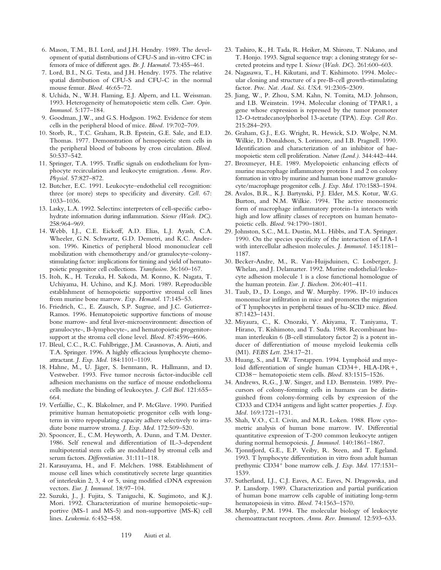- 6. Mason, T.M., B.I. Lord, and J.H. Hendry. 1989. The development of spatial distributions of CFU-S and in-vitro CFC in femora of mice of different ages. *Br. J. Haematol.* 73:455–461.
- 7. Lord, B.I., N.G. Testa, and J.H. Hendry. 1975. The relative spatial distribution of CFU-S and CFU-C in the normal mouse femur. *Blood.* 46:65–72.
- 8. Uchida, N., W.H. Flaming, E.J. Alpern, and I.L. Weissman. 1993. Heterogeneity of hematopoietic stem cells. *Curr. Opin. Immunol.* 5:177–184.
- 9. Goodman, J.W., and G.S. Hodgson. 1962. Evidence for stem cells in the peripheral blood of mice. *Blood.* 19:702–709.
- 10. Storb, R., T.C. Graham, R.B. Epstein, G.E. Sale, and E.D. Thomas. 1977. Demonstration of hemopoietic stem cells in the peripheral blood of baboons by cross circulation. *Blood.* 50:537–542.
- 11. Springer, T.A. 1995. Traffic signals on endothelium for lymphocyte recirculation and leukocyte emigration. *Annu. Rev. Physiol.* 57:827–872.
- 12. Butcher, E.C. 1991. Leukocyte–endothelial cell recognition: three (or more) steps to specificity and diversity. *Cell.* 67: 1033–1036.
- 13. Lasky, L.A. 1992. Selectins: interpreters of cell-specific carbohydrate information during inflammation. *Science (Wash. DC)*. 258:964–969.
- 14. Webb, I.J., C.E. Eickoff, A.D. Elias, L.J. Ayash, C.A. Wheeler, G.N. Schwartz, G.D. Demetri, and K.C. Anderson. 1996. Kinetics of peripheral blood mononuclear cell mobilization with chemotherapy and/or granulocyte–colonystimulating factor: implications for timing and yield of hematopoietic progenitor cell collections. *Transfusion.* 36:160–167.
- 15. Itoh, K., H. Tezuka, H. Sakoda, M. Konno, K. Nagata, T. Uchiyama, H. Uchino, and K.J. Mori. 1989. Reproducible establishment of hemopoietic supportive stromal cell lines from murine bone marrow. *Exp. Hematol.* 17:145–53.
- 16. Friedrich, C., E. Zausch, S.P. Sugrue, and J.C. Gutierrez-Ramos. 1996. Hematopoietic supportive functions of mouse bone marrow- and fetal liver-microenvironment: dissection of granulocyte-, B-lymphocyte-, and hematopoietic progenitorsupport at the stroma cell clone level. *Blood.* 87:4596–4606.
- 17. Bleul, C.C., R.C. Fuhlbrigge, J.M. Casasnovas, A. Aiuti, and T.A. Springer. 1996. A highly efficacious lymphocyte chemoattractant. *J. Exp. Med.* 184:1101–1109.
- 18. Hahne, M., U. Jäger, S. Isenmann, R. Hallmann, and D. Vestweber. 1993. Five tumor necrosis factor-inducible cell adhesion mechanisms on the surface of mouse endothelioma cells mediate the binding of leukocytes. *J. Cell Biol.* 121:655– 664.
- 19. Verfaillie, C., K. Blakolmer, and P. McGlave. 1990. Purified primitive human hematopoietic progenitor cells with longterm in vitro repopulating capacity adhere selectively to irradiate bone marrow stroma. *J. Exp. Med.* 172:509–520.
- 20. Spooncer, E., C.M. Heyworth, A. Dunn, and T.M. Dexter. 1986. Self renewal and differentiation of IL-3-dependent multipotential stem cells are modulated by stromal cells and serum factors. *Differentiation.* 31:111–118.
- 21. Karasuyama, H., and F. Melchers. 1988. Establishment of mouse cell lines which constitutively secrete large quantities of interleukin 2, 3, 4 or 5, using modified cDNA expression vectors. *Eur. J. Immunol.* 18:97–104.
- 22. Suzuki, J., J. Fujita, S. Taniguchi, K. Sugimoto, and K.J. Mori. 1992. Characterization of murine hemopoietic-supportive (MS-1 and MS-5) and non-supportive (MS-K) cell lines. *Leukemia.* 6:452–458.
- 23. Tashiro, K., H. Tada, R. Heiker, M. Shirozu, T. Nakano, and T. Honjo. 1993. Signal sequence trap: a cloning strategy for secreted proteins and type I. *Science* (*Wash. DC*). 261:600–603.
- 24. Nagasawa, T., H. Kikutani, and T. Kishimoto. 1994. Molecular cloning and structure of a pre-B-cell growth-stimulating factor. *Proc. Nat. Acad. Sci. USA.* 91:2305–2309.
- 25. Jiang, W., P. Zhou, S.M. Kahn, N. Tomita, M.D. Johnson, and I.B. Weinstein. 1994. Molecular cloning of TPAR1, a gene whose expression is repressed by the tumor promoter 12-*O*-tetradecanoylphorbol 13-acetate (TPA). *Exp. Cell Res.* 215:284–293.
- 26. Graham, G.J., E.G. Wright, R. Hewick, S.D. Wolpe, N.M. Wilkie, D. Donaldson, S. Lorimore, and I.B. Pragnell. 1990. Identification and characterization of an inhibitor of haemopoietic stem cell proliferation. *Nature (Lond.).* 344:442–444.
- 27. Broxmeyer, H.E. 1989. Myelopoietic enhancing effects of murine macrophage inflammatory proteins 1 and 2 on colony formation in vitro by murine and human bone marrow granulocyte/macrophage progenitor cells. *J. Exp. Med.* 170:1583–1594.
- 28. Avalos, B.R., K.J. Bartynski, P.J. Elder, M.S. Kotur, W.G. Burton, and N.M. Wilkie. 1994. The active monomeric form of macrophage inflammatory protein-1a interacts with high and low affinity classes of receptors on human hematopoietic cells. *Blood.* 94:1790–1801.
- 29. Johnston, S.C., M.L. Dustin, M.L. Hibbs, and T.A. Springer. 1990. On the species specificity of the interaction of LFA-1 with intercellular adhesion molecules. *J. Immunol.* 145:1181– 1187.
- 30. Becker-Andre, M., R. Van-Huijsduinen, C. Losberger, J. Whelan, and J. Delamarter. 1992. Murine endothelial/leukocyte adhesion molecule 1 is a close functional homologue of the human protein. *Eur. J. Biochem.* 206:401–411.
- 31. Taub, D., D. Longo, and W. Murphy. 1996. IP-10 induces mononuclear infiltration in mice and promotes the migration of T lymphocytes in peripheral tissues of hu-SCID mice. *Blood.* 87:1423–1431.
- 32. Miyaura, C., K. Onozaki, Y. Akiyama, T. Taniyama, T. Hirano, T. Kishimoto, and T. Suda. 1988. Recombinant human interleukin 6 (B-cell stimulatory factor 2) is a potent inducer of differentiation of mouse myeloid leukemia cells (M1). *FEBS Lett.* 234:17–21.
- 33. Huang, S., and L.W. Terstappen. 1994. Lymphoid and myeloid differentiation of single human CD34+, HLA-DR+, CD38- hematopoietic stem cells. *Blood.* 83:1515-1526.
- 34. Andrews, R.G., J.W. Singer, and I.D. Bernstein. 1989. Precursors of colony-forming cells in humans can be distinguished from colony-forming cells by expression of the CD33 and CD34 antigens and light scatter properties. *J. Exp. Med.* 169:1721–1731.
- 35. Shah, V.O., C.I. Civin, and M.R. Loken. 1988. Flow cytometric analysis of human bone marrow. IV. Differential quantitative expression of T-200 common leukocyte antigen during normal hemopoiesis. *J. Immunol.* 140:1861–1867.
- 36. Tjonnfjord, G.E., E.P. Veiby, R. Steen, and T. Egeland. 1993. T lymphocyte differentiation in vitro from adult human prethymic CD34<sup>+</sup> bone marrow cells. *J. Exp. Med.* 177:1531– 1539.
- 37. Sutherland, I.J., C.J. Eaves, A.C. Eaves, N. Dragowska, and P. Lansdorp. 1989. Characterization and partial purification of human bone marrow cells capable of initiating long-term hematopoiesis in vitro. *Blood.* 74:1563–1570.
- 38. Murphy, P.M. 1994. The molecular biology of leukocyte chemoattractant receptors. *Annu. Rev. Immunol.* 12:593–633.